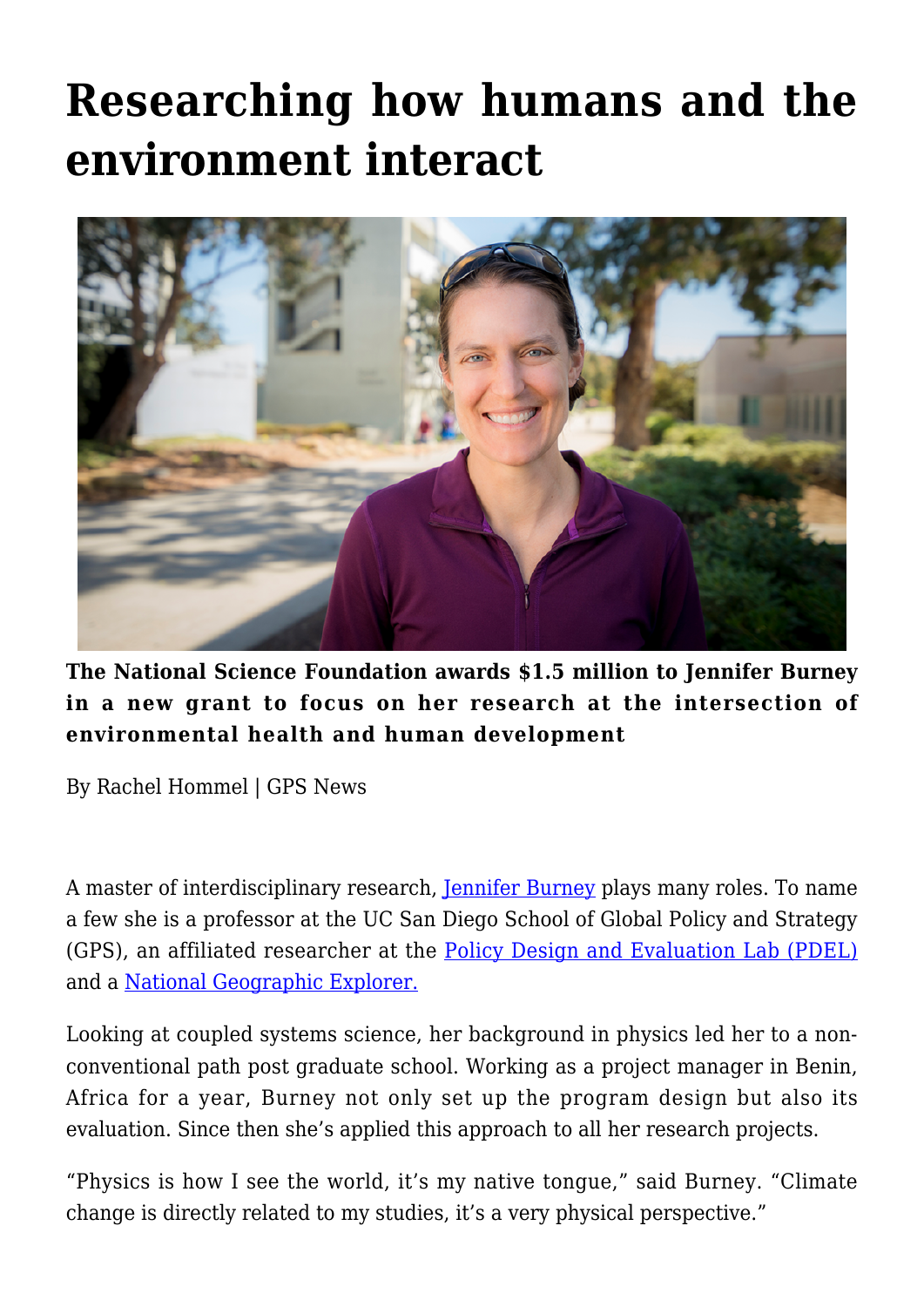## **[Researching how humans and the](https://gpsnews.ucsd.edu/researching-how-humans-and-the-environment-interact/) [environment interact](https://gpsnews.ucsd.edu/researching-how-humans-and-the-environment-interact/)**



**The National Science Foundation awards \$1.5 million to Jennifer Burney in a new grant to focus on her research at the intersection of environmental health and human development**

By Rachel Hommel | GPS News

A master of interdisciplinary research, [Jennifer Burney](https://gps.ucsd.edu/faculty-directory/jennifer-burney.html) plays many roles. To name a few she is a professor at the UC San Diego School of Global Policy and Strategy (GPS), an affiliated researcher at the [Policy Design and Evaluation Lab \(PDEL\)](https://pdel.ucsd.edu/) and a [National Geographic Explorer.](https://www.nationalgeographic.org/news/real-world-geography-dr-jennifer-burney/)

Looking at coupled systems science, her background in physics led her to a nonconventional path post graduate school. Working as a project manager in Benin, Africa for a year, Burney not only set up the program design but also its evaluation. Since then she's applied this approach to all her research projects.

"Physics is how I see the world, it's my native tongue," said Burney. "Climate change is directly related to my studies, it's a very physical perspective."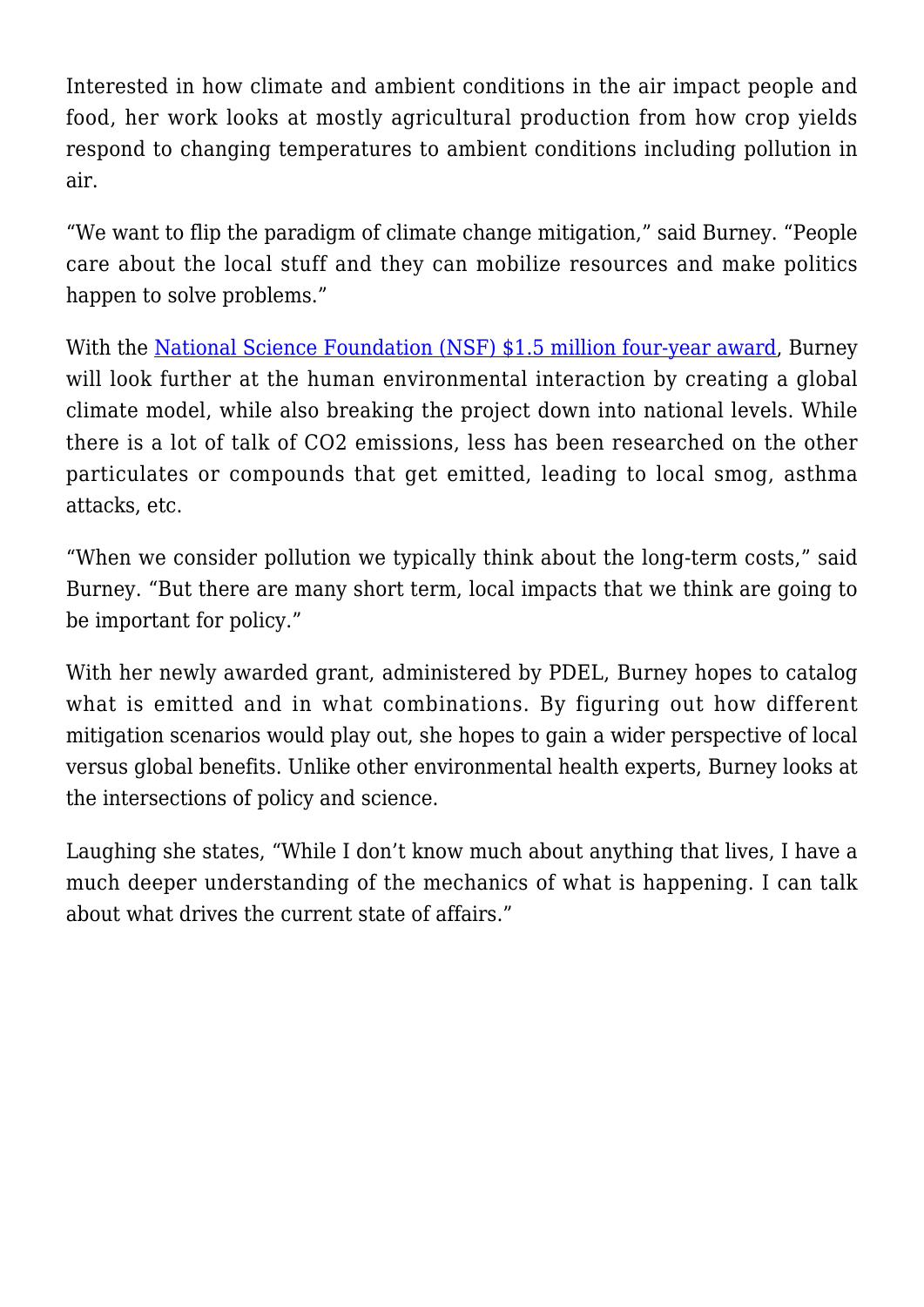Interested in how climate and ambient conditions in the air impact people and food, her work looks at mostly agricultural production from how crop yields respond to changing temperatures to ambient conditions including pollution in air.

"We want to flip the paradigm of climate change mitigation," said Burney. "People care about the local stuff and they can mobilize resources and make politics happen to solve problems."

With the [National Science Foundation \(NSF\) \\$1.5 million four-year award](https://www.nsf.gov/news/news_summ.jsp?cntn_id=242942&org=NSF&from=news), Burney will look further at the human environmental interaction by creating a global climate model, while also breaking the project down into national levels. While there is a lot of talk of CO2 emissions, less has been researched on the other particulates or compounds that get emitted, leading to local smog, asthma attacks, etc.

"When we consider pollution we typically think about the long-term costs," said Burney. "But there are many short term, local impacts that we think are going to be important for policy."

With her newly awarded grant, administered by PDEL, Burney hopes to catalog what is emitted and in what combinations. By figuring out how different mitigation scenarios would play out, she hopes to gain a wider perspective of local versus global benefits. Unlike other environmental health experts, Burney looks at the intersections of policy and science.

Laughing she states, "While I don't know much about anything that lives, I have a much deeper understanding of the mechanics of what is happening. I can talk about what drives the current state of affairs."